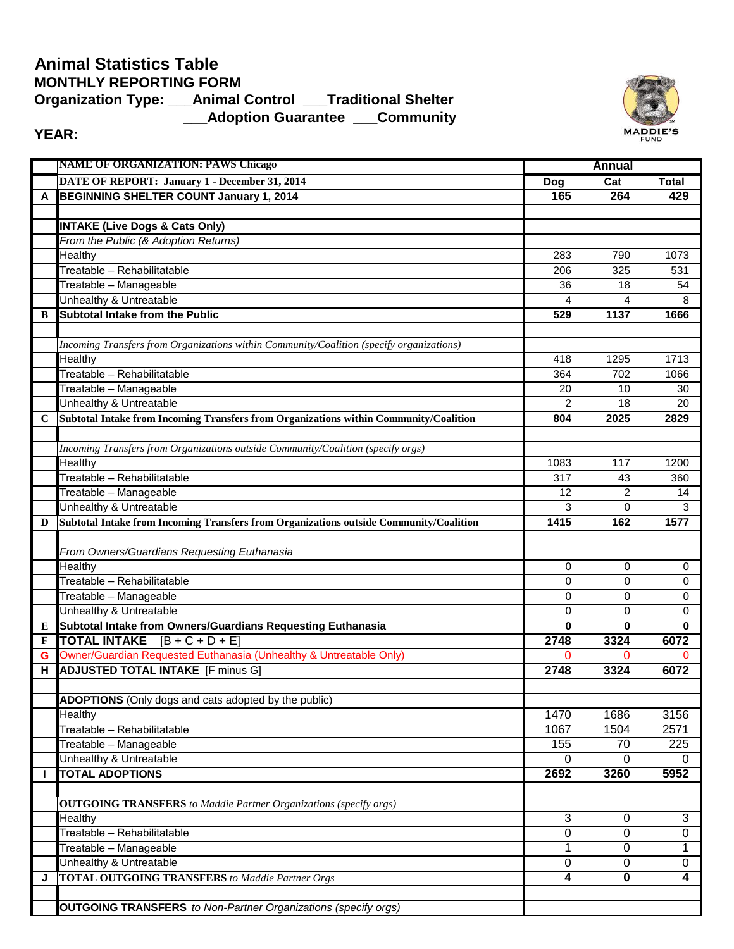## **\_\_\_Adoption Guarantee \_\_\_Community Animal Statistics Table MONTHLY REPORTING FORM Organization Type: \_\_\_Animal Control \_\_\_Traditional Shelter**



## **YEAR:**

|             | <b>NAME OF ORGANIZATION: PAWS Chicago</b>                                                |                | <b>Annual</b>  |                |  |
|-------------|------------------------------------------------------------------------------------------|----------------|----------------|----------------|--|
|             | DATE OF REPORT: January 1 - December 31, 2014                                            | Dog            | Cat            | <b>Total</b>   |  |
| A           | BEGINNING SHELTER COUNT January 1, 2014                                                  | 165            | 264            | 429            |  |
|             |                                                                                          |                |                |                |  |
|             | <b>INTAKE (Live Dogs &amp; Cats Only)</b>                                                |                |                |                |  |
|             | From the Public (& Adoption Returns)                                                     |                |                |                |  |
|             | Healthy                                                                                  | 283            | 790            | 1073           |  |
|             | Treatable - Rehabilitatable                                                              | 206            | 325            | 531            |  |
|             | Treatable - Manageable                                                                   | 36             | 18             | 54             |  |
|             | Unhealthy & Untreatable                                                                  | 4              | 4              | 8              |  |
| B           | <b>Subtotal Intake from the Public</b>                                                   | 529            | 1137           | 1666           |  |
|             |                                                                                          |                |                |                |  |
|             | Incoming Transfers from Organizations within Community/Coalition (specify organizations) |                |                |                |  |
|             | Healthy                                                                                  | 418            | 1295           | 1713           |  |
|             | Treatable - Rehabilitatable                                                              | 364            | 702            | 1066           |  |
|             | Treatable - Manageable                                                                   | 20             | 10             | 30             |  |
|             | Unhealthy & Untreatable                                                                  | 2              | 18             | 20             |  |
| $\mathbf C$ | Subtotal Intake from Incoming Transfers from Organizations within Community/Coalition    | 804            | 2025           | 2829           |  |
|             |                                                                                          |                |                |                |  |
|             | Incoming Transfers from Organizations outside Community/Coalition (specify orgs)         |                |                |                |  |
|             | Healthy                                                                                  | 1083           | 117            | 1200           |  |
|             | Treatable - Rehabilitatable                                                              | 317            | 43             | 360            |  |
|             | Treatable - Manageable                                                                   | 12             | $\overline{2}$ | 14             |  |
|             | Unhealthy & Untreatable                                                                  | 3              | $\Omega$       | 3              |  |
| D           | Subtotal Intake from Incoming Transfers from Organizations outside Community/Coalition   | 1415           | 162            | 1577           |  |
|             |                                                                                          |                |                |                |  |
|             | From Owners/Guardians Requesting Euthanasia<br>Healthy                                   | 0              | 0              | 0              |  |
|             | Treatable - Rehabilitatable                                                              | 0              | 0              | $\mathbf 0$    |  |
|             | Treatable - Manageable                                                                   | 0              | 0              | 0              |  |
|             | Unhealthy & Untreatable                                                                  | 0              | 0              | 0              |  |
| E           | Subtotal Intake from Owners/Guardians Requesting Euthanasia                              | 0              | 0              | 0              |  |
| F           | <b>TOTAL INTAKE</b> $[B + C + D + E]$                                                    | 2748           | 3324           | 6072           |  |
| G           | Owner/Guardian Requested Euthanasia (Unhealthy & Untreatable Only)                       | 0              | 0              | 0              |  |
| н           | <b>ADJUSTED TOTAL INTAKE</b> [F minus G]                                                 | 2748           | 3324           | 6072           |  |
|             |                                                                                          |                |                |                |  |
|             | <b>ADOPTIONS</b> (Only dogs and cats adopted by the public)                              |                |                |                |  |
|             | Healthy                                                                                  | 1470           | 1686           | 3156           |  |
|             | Treatable - Rehabilitatable                                                              | 1067           | 1504           | 2571           |  |
|             | Treatable - Manageable                                                                   | 155            | 70             | 225            |  |
|             | Unhealthy & Untreatable                                                                  | 0              | 0              | 0              |  |
| J.          | <b>TOTAL ADOPTIONS</b>                                                                   | 2692           | 3260           | 5952           |  |
|             |                                                                                          |                |                |                |  |
|             | <b>OUTGOING TRANSFERS</b> to Maddie Partner Organizations (specify orgs)                 |                |                |                |  |
|             | Healthy                                                                                  | $\overline{3}$ | 0              | 3              |  |
|             | Treatable - Rehabilitatable                                                              | $\overline{0}$ | $\mathbf 0$    | $\overline{0}$ |  |
|             | Treatable - Manageable                                                                   | 1              | 0              | 1              |  |
|             | Unhealthy & Untreatable                                                                  | $\mathbf 0$    | 0              | $\mathbf 0$    |  |
| J           | <b>TOTAL OUTGOING TRANSFERS</b> to Maddie Partner Orgs                                   | 4              | 0              | $\overline{4}$ |  |
|             |                                                                                          |                |                |                |  |
|             | <b>OUTGOING TRANSFERS</b> to Non-Partner Organizations (specify orgs)                    |                |                |                |  |